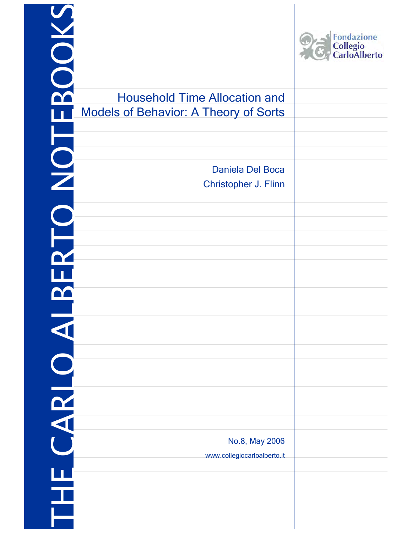|                                                                                      | Fondazione<br>Collegio<br>CarloAlberto |
|--------------------------------------------------------------------------------------|----------------------------------------|
| <b>Household Time Allocation and</b><br><b>Models of Behavior: A Theory of Sorts</b> |                                        |
| Daniela Del Boca<br>Christopher J. Flinn                                             |                                        |
|                                                                                      |                                        |
|                                                                                      |                                        |
|                                                                                      |                                        |
|                                                                                      |                                        |
|                                                                                      |                                        |
| No.8, May 2006                                                                       |                                        |
| www.collegiocarloalberto.it                                                          |                                        |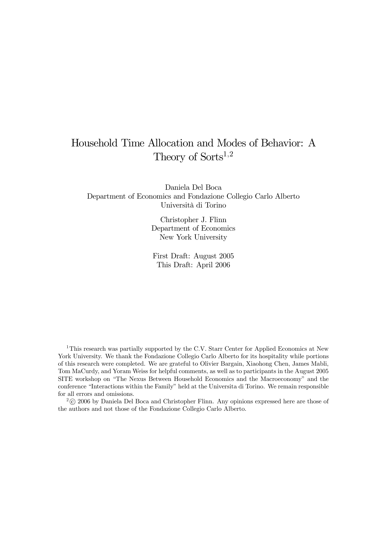# Household Time Allocation and Modes of Behavior: A Theory of Sorts<sup>1,2</sup>

Daniela Del Boca Department of Economics and Fondazione Collegio Carlo Alberto Università di Torino

> Christopher J. Flinn Department of Economics New York University

First Draft: August 2005 This Draft: April 2006

<sup>1</sup>This research was partially supported by the C.V. Starr Center for Applied Economics at New York University. We thank the Fondazione Collegio Carlo Alberto for its hospitality while portions of this research were completed. We are grateful to Olivier Bargain, Xiaohong Chen, James Mabli, Tom MaCurdy, and Yoram Weiss for helpful comments, as well as to participants in the August 2005 SITE workshop on "The Nexus Between Household Economics and the Macroeconomy" and the conference "Interactions within the Family" held at the Universita di Torino. We remain responsible for all errors and omissions.

 $2^{\circ}$  (c) 2006 by Daniela Del Boca and Christopher Flinn. Any opinions expressed here are those of the authors and not those of the Fondazione Collegio Carlo Alberto.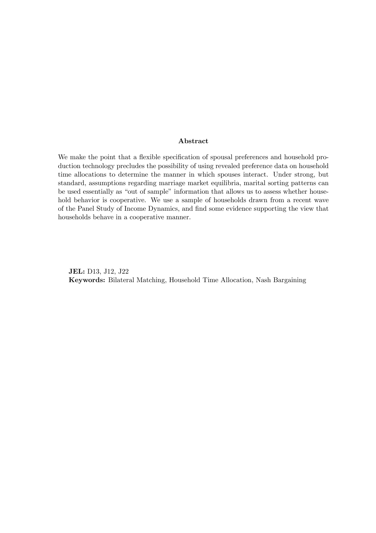#### Abstract

We make the point that a flexible specification of spousal preferences and household production technology precludes the possibility of using revealed preference data on household time allocations to determine the manner in which spouses interact. Under strong, but standard, assumptions regarding marriage market equilibria, marital sorting patterns can be used essentially as "out of sample" information that allows us to assess whether household behavior is cooperative. We use a sample of households drawn from a recent wave of the Panel Study of Income Dynamics, and find some evidence supporting the view that households behave in a cooperative manner.

JEL: D13, J12, J22 Keywords: Bilateral Matching, Household Time Allocation, Nash Bargaining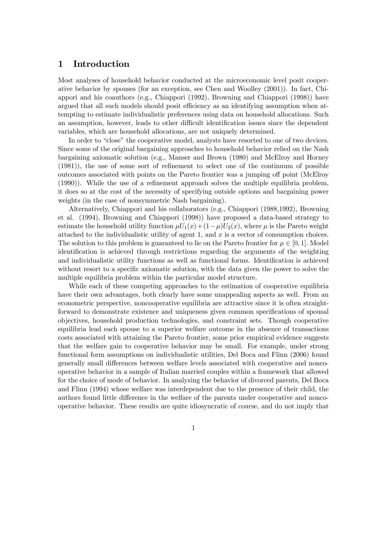### 1 Introduction

Most analyses of household behavior conducted at the microeconomic level posit cooperative behavior by spouses (for an exception, see Chen and Woolley (2001)). In fact, Chiappori and his coauthors (e.g., Chiappori (1992), Browning and Chiappori (1998)) have argued that all such models should posit efficiency as an identifying assumption when attempting to estimate individualistic preferences using data on household allocations. Such an assumption, however, leads to other difficult identification issues since the dependent variables, which are household allocations, are not uniquely determined.

In order to "close" the cooperative model, analysts have resorted to one of two devices. Since some of the original bargaining approaches to household behavior relied on the Nash bargaining axiomatic solution (e.g., Manser and Brown (1980) and McElroy and Horney (1981)), the use of some sort of refinement to select one of the continuum of possible outcomes associated with points on the Pareto frontier was a jumping off point (McElroy (1990)). While the use of a refinement approach solves the multiple equilibria problem, it does so at the cost of the necessity of specifying outside options and bargaining power weights (in the case of nonsymmetric Nash bargaining).

Alternatively, Chiappori and his collaborators (e.g., Chiappori (1988,1992), Browning et al. (1994), Browning and Chiappori (1998)) have proposed a data-based strategy to estimate the household utility function  $\mu U_1(x)+(1-\mu)U_2(x)$ , where  $\mu$  is the Pareto weight attached to the individualistic utility of agent 1, and  $x$  is a vector of consumption choices. The solution to this problem is guaranteed to lie on the Pareto frontier for  $\mu \in [0, 1]$ . Model identification is achieved through restrictions regarding the arguments of the weighting and individualistic utility functions as well as functional forms. Identification is achieved without resort to a specific axiomatic solution, with the data given the power to solve the multiple equilibria problem within the particular model structure.

While each of these competing approaches to the estimation of cooperative equilibria have their own advantages, both clearly have some unappealing aspects as well. From an econometric perspective, noncooperative equilibria are attractive since it is often straightforward to demonstrate existence and uniqueness given common specifications of spousal objectives, household production technologies, and constraint sets. Though cooperative equilibria lead each spouse to a superior welfare outcome in the absence of transactions costs associated with attaining the Pareto frontier, some prior empirical evidence suggests that the welfare gain to cooperative behavior may be small. For example, under strong functional form assumptions on individualistic utilities, Del Boca and Flinn (2006) found generally small differences between welfare levels associated with cooperative and noncooperative behavior in a sample of Italian married couples within a framework that allowed for the choice of mode of behavior. In analyzing the behavior of divorced parents, Del Boca and Flinn (1994) whose welfare was interdependent due to the presence of their child, the authors found little difference in the welfare of the parents under cooperative and noncooperative behavior. These results are quite idiosyncratic of course, and do not imply that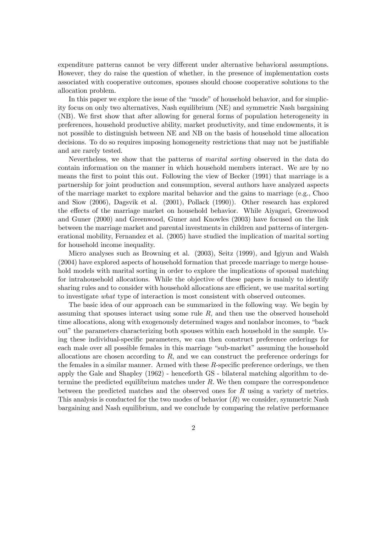expenditure patterns cannot be very different under alternative behavioral assumptions. However, they do raise the question of whether, in the presence of implementation costs associated with cooperative outcomes, spouses should choose cooperative solutions to the allocation problem.

In this paper we explore the issue of the "mode" of household behavior, and for simplicity focus on only two alternatives, Nash equilibrium (NE) and symmetric Nash bargaining (NB). We first show that after allowing for general forms of population heterogeneity in preferences, household productive ability, market productivity, and time endowments, it is not possible to distinguish between NE and NB on the basis of household time allocation decisions. To do so requires imposing homogeneity restrictions that may not be justifiable and are rarely tested.

Nevertheless, we show that the patterns of marital sorting observed in the data do contain information on the manner in which household members interact. We are by no means the first to point this out. Following the view of Becker (1991) that marriage is a partnership for joint production and consumption, several authors have analyzed aspects of the marriage market to explore marital behavior and the gains to marriage (e.g., Choo and Siow (2006), Dagsvik et al. (2001), Pollack (1990)). Other research has explored the effects of the marriage market on household behavior. While Aiyagari, Greenwood and Guner (2000) and Greenwood, Guner and Knowles (2003) have focused on the link between the marriage market and parental investments in children and patterns of intergenerational mobility, Fernandez et al. (2005) have studied the implication of marital sorting for household income inequality.

Micro analyses such as Browning et al. (2003), Seitz (1999), and Igiyun and Walsh (2004) have explored aspects of household formation that precede marriage to merge household models with marital sorting in order to explore the implications of spousal matching for intrahousehold allocations. While the objective of these papers is mainly to identify sharing rules and to consider with household allocations are efficient, we use marital sorting to investigate what type of interaction is most consistent with observed outcomes.

The basic idea of our approach can be summarized in the following way. We begin by assuming that spouses interact using some rule R, and then use the observed household time allocations, along with exogenously determined wages and nonlabor incomes, to "back out" the parameters characterizing both spouses within each household in the sample. Using these individual-specific parameters, we can then construct preference orderings for each male over all possible females in this marriage "sub-market" assuming the household allocations are chosen according to  $R$ , and we can construct the preference orderings for the females in a similar manner. Armed with these R-specific preference orderings, we then apply the Gale and Shapley (1962) - henceforth GS - bilateral matching algorithm to determine the predicted equilibrium matches under R. We then compare the correspondence between the predicted matches and the observed ones for  $R$  using a variety of metrics. This analysis is conducted for the two modes of behavior  $(R)$  we consider, symmetric Nash bargaining and Nash equilibrium, and we conclude by comparing the relative performance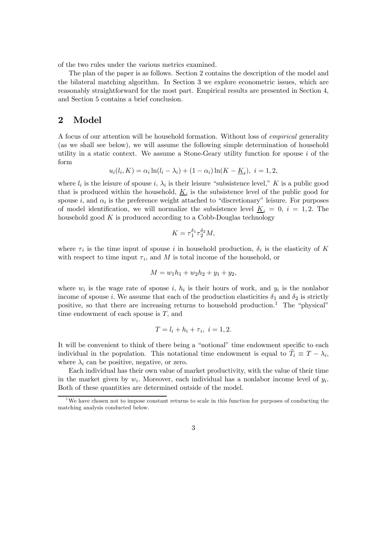of the two rules under the various metrics examined.

The plan of the paper is as follows. Section 2 contains the description of the model and the bilateral matching algorithm. In Section 3 we explore econometric issues, which are reasonably straightforward for the most part. Empirical results are presented in Section 4, and Section 5 contains a brief conclusion.

# 2 Model

A focus of our attention will be household formation. Without loss of empirical generality (as we shall see below), we will assume the following simple determination of household utility in a static context. We assume a Stone-Geary utility function for spouse  $i$  of the form

$$
u_i(l_i, K) = \alpha_i \ln(l_i - \lambda_i) + (1 - \alpha_i) \ln(K - \underline{K}_i), \ i = 1, 2,
$$

where  $l_i$  is the leisure of spouse i,  $\lambda_i$  is their leisure "subsistence level," K is a public good that is produced within the household,  $K_i$  is the subsistence level of the public good for spouse i, and  $\alpha_i$  is the preference weight attached to "discretionary" leisure. For purposes of model identification, we will normalize the subsistence level  $K_i = 0$ ,  $i = 1, 2$ . The household good  $K$  is produced according to a Cobb-Douglas technology

$$
K = \tau_1^{\delta_1} \tau_2^{\delta_2} M,
$$

where  $\tau_i$  is the time input of spouse i in household production,  $\delta_i$  is the elasticity of K with respect to time input  $\tau_i$ , and M is total income of the household, or

$$
M = w_1 h_1 + w_2 h_2 + y_1 + y_2,
$$

where  $w_i$  is the wage rate of spouse i,  $h_i$  is their hours of work, and  $y_i$  is the nonlabor income of spouse i. We assume that each of the production elasticities  $\delta_1$  and  $\delta_2$  is strictly positive, so that there are increasing returns to household production.<sup>1</sup> The "physical" time endowment of each spouse is  $T$ , and

$$
T = l_i + h_i + \tau_i, \ i = 1, 2.
$$

It will be convenient to think of there being a "notional" time endowment specific to each individual in the population. This notational time endowment is equal to  $\tilde{T}_i \equiv T - \lambda_i$ , where  $\lambda_i$  can be positive, negative, or zero.

Each individual has their own value of market productivity, with the value of their time in the market given by  $w_i$ . Moreover, each individual has a nonlabor income level of  $y_i$ . Both of these quantities are determined outside of the model.

 $1$ We have chosen not to impose constant returns to scale in this function for purposes of conducting the matching analysis conducted below.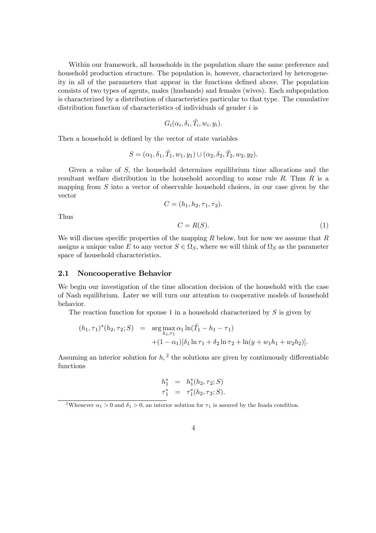Within our framework, all households in the population share the same preference and household production structure. The population is, however, characterized by heterogeneity in all of the parameters that appear in the functions defined above. The population consists of two types of agents, males (husbands) and females (wives). Each subpopulation is characterized by a distribution of characteristics particular to that type. The cumulative distribution function of characteristics of individuals of gender  $i$  is

$$
G_i(\alpha_i, \delta_i, \tilde{T}_i, w_i, y_i).
$$

Then a household is defined by the vector of state variables

$$
S = (\alpha_1, \delta_1, \tilde{T}_1, w_1, y_1) \cup (\alpha_2, \delta_2, \tilde{T}_2, w_2, y_2).
$$

Given a value of S, the household determines equilibrium time allocations and the resultant welfare distribution in the household according to some rule  $R$ . Thus  $R$  is a mapping from  $S$  into a vector of observable household choices, in our case given by the vector

$$
C=(h_1,h_2,\tau_1,\tau_2).
$$

Thus

$$
C = R(S). \tag{1}
$$

We will discuss specific properties of the mapping  $R$  below, but for now we assume that  $R$ assigns a unique value E to any vector  $S \in \Omega_S$ , where we will think of  $\Omega_S$  as the parameter space of household characteristics.

#### 2.1 Noncooperative Behavior

We begin our investigation of the time allocation decision of the household with the case of Nash equilibrium. Later we will turn our attention to cooperative models of household behavior.

The reaction function for spouse 1 in a household characterized by  $S$  is given by

$$
(h_1, \tau_1)^*(h_2, \tau_2; S) = \arg \max_{h_1, \tau_1} \alpha_1 \ln(\tilde{T}_1 - h_1 - \tau_1) + (1 - \alpha_1)[\delta_1 \ln \tau_1 + \delta_2 \ln \tau_2 + \ln(y + w_1 h_1 + w_2 h_2)].
$$

Assuming an interior solution for  $h<sub>1</sub><sup>2</sup>$  the solutions are given by continuously differentiable functions

$$
h_1^* = h_1^*(h_2, \tau_2; S)
$$
  

$$
\tau_1^* = \tau_1^*(h_2, \tau_2; S).
$$

<sup>&</sup>lt;sup>2</sup>Whenever  $\alpha_1 > 0$  and  $\delta_1 > 0$ , an interior solution for  $\tau_1$  is assured by the Inada condition.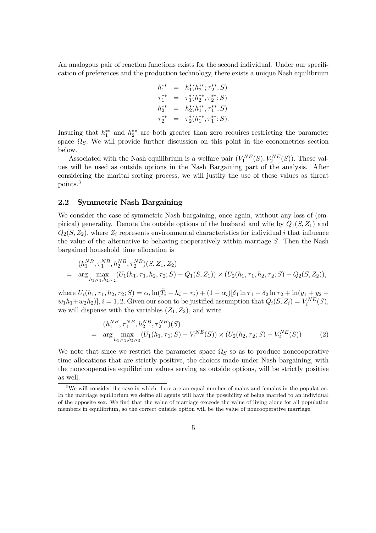An analogous pair of reaction functions exists for the second individual. Under our specification of preferences and the production technology, there exists a unique Nash equilibrium

$$
h_{1}^{**} = h_{1}^{*}(h_{2}^{**}; \tau_{2}^{**}; S)
$$
  
\n
$$
\tau_{1}^{**} = \tau_{1}^{*}(h_{2}^{**}, \tau_{2}^{**}; S)
$$
  
\n
$$
h_{2}^{**} = h_{2}^{*}(h_{1}^{**}, \tau_{1}^{**}; S)
$$
  
\n
$$
\tau_{2}^{**} = \tau_{2}^{*}(h_{1}^{**}, \tau_{1}^{**}; S).
$$

Insuring that  $h_1^{**}$  and  $h_2^{**}$  are both greater than zero requires restricting the parameter space  $\Omega$ <sub>S</sub>. We will provide further discussion on this point in the econometrics section below.

Associated with the Nash equilibrium is a welfare pair  $(V_1^{NE}(S), V_2^{NE}(S))$ . These values will be used as outside options in the Nash Bargaining part of the analysis. After considering the marital sorting process, we will justify the use of these values as threat points.3

#### 2.2 Symmetric Nash Bargaining

We consider the case of symmetric Nash bargaining, once again, without any loss of (empirical) generality. Denote the outside options of the husband and wife by  $Q_1(S, Z_1)$  and  $Q_2(S, Z_2)$ , where  $Z_i$  represents environmental characteristics for individual i that influence the value of the alternative to behaving cooperatively within marriage  $S$ . Then the Nash bargained household time allocation is

$$
(h_1^{NB}, \tau_1^{NB}, h_2^{NB}, \tau_2^{NB})(S, Z_1, Z_2)
$$
  
= 
$$
\arg \max_{h_1, \tau_1, h_2, \tau_2} (U_1(h_1, \tau_1, h_2, \tau_2; S) - Q_1(S, Z_1)) \times (U_2(h_1, \tau_1, h_2, \tau_2; S) - Q_2(S, Z_2)),
$$

where  $U_i(h_1, \tau_1, h_2, \tau_2; S) = \alpha_i \ln(\tilde{T}_i - h_i - \tau_i) + (1 - \alpha_i)[\delta_1 \ln \tau_1 + \delta_2 \ln \tau_2 + \ln(y_1 + y_2 + \tau_1)]$  $w_1h_1+w_2h_2$ ,  $i=1,2$ . Given our soon to be justified assumption that  $Q_i(S, Z_i) = V_i^{NE}(S)$ , we will dispense with the variables  $(Z_1, Z_2)$ , and write

$$
(h_1^{NB}, \tau_1^{NB}, h_2^{NB}, \tau_2^{NB})(S)
$$
  
= 
$$
\arg\max_{h_1, \tau_1, h_2, \tau_2} (U_1(h_1, \tau_1; S) - V_1^{NE}(S)) \times (U_2(h_2, \tau_2; S) - V_2^{NE}(S))
$$
 (2)

We note that since we restrict the parameter space  $\Omega_S$  so as to produce noncooperative time allocations that are strictly positive, the choices made under Nash bargaining, with the noncooperative equilibrium values serving as outside options, will be strictly positive as well.

<sup>&</sup>lt;sup>3</sup>We will consider the case in which there are an equal number of males and females in the population. In the marriage equilibrium we define all agents will have the possibility of being married to an individual of the opposite sex. We find that the value of marriage exceeds the value of living alone for all population members in equilibrium, so the correct outside option will be the value of noncooperative marriage.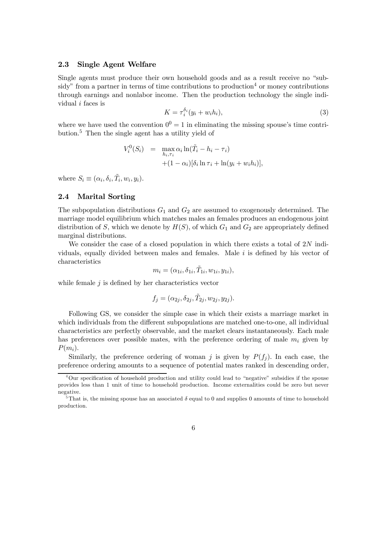#### 2.3 Single Agent Welfare

Single agents must produce their own household goods and as a result receive no "subsidy" from a partner in terms of time contributions to production  $4$  or money contributions through earnings and nonlabor income. Then the production technology the single individual i faces is

$$
K = \tau_i^{\delta_i} (y_i + w_i h_i), \tag{3}
$$

where we have used the convention  $0^0 = 1$  in eliminating the missing spouse's time contribution.<sup>5</sup> Then the single agent has a utility yield of

$$
V_i^0(S_i) = \max_{h_i, \tau_i} \alpha_i \ln(\tilde{T}_i - h_i - \tau_i)
$$
  
 
$$
+ (1 - \alpha_i)[\delta_i \ln \tau_i + \ln(y_i + w_i h_i)],
$$

where  $S_i \equiv (\alpha_i, \delta_i, \tilde{T}_i, w_i, y_i)$ .

#### 2.4 Marital Sorting

The subpopulation distributions  $G_1$  and  $G_2$  are assumed to exogenously determined. The marriage model equilibrium which matches males an females produces an endogenous joint distribution of S, which we denote by  $H(S)$ , of which  $G_1$  and  $G_2$  are appropriately defined marginal distributions.

We consider the case of a closed population in which there exists a total of 2N individuals, equally divided between males and females. Male  $i$  is defined by his vector of characteristics

$$
m_i = (\alpha_{1i}, \delta_{1i}, \tilde{T}_{1i}, w_{1i}, y_{1i}),
$$

while female  $j$  is defined by her characteristics vector

$$
f_j = (\alpha_{2j}, \delta_{2j}, \tilde{T}_{2j}, w_{2j}, y_{2j}).
$$

Following GS, we consider the simple case in which their exists a marriage market in which individuals from the different subpopulations are matched one-to-one, all individual characteristics are perfectly observable, and the market clears instantaneously. Each male has preferences over possible mates, with the preference ordering of male  $m_i$  given by  $P(m_i)$ .

Similarly, the preference ordering of woman j is given by  $P(f_i)$ . In each case, the preference ordering amounts to a sequence of potential mates ranked in descending order,

<sup>4</sup>Our specification of household production and utility could lead to "negative" subsidies if the spouse provides less than 1 unit of time to household production. Income externalities could be zero but never negative.

<sup>&</sup>lt;sup>5</sup>That is, the missing spouse has an associated  $\delta$  equal to 0 and supplies 0 amounts of time to household production.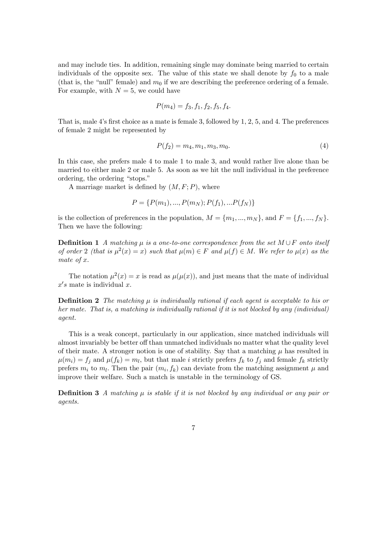and may include ties. In addition, remaining single may dominate being married to certain individuals of the opposite sex. The value of this state we shall denote by  $f_0$  to a male (that is, the "null" female) and  $m_0$  if we are describing the preference ordering of a female. For example, with  $N = 5$ , we could have

$$
P(m_4) = f_3, f_1, f_2, f_5, f_4.
$$

That is, male 4's first choice as a mate is female 3, followed by 1, 2, 5, and 4. The preferences of female 2 might be represented by

$$
P(f_2) = m_4, m_1, m_3, m_0.
$$
\n<sup>(4)</sup>

In this case, she prefers male 4 to male 1 to male 3, and would rather live alone than be married to either male 2 or male 5. As soon as we hit the null individual in the preference ordering, the ordering "stops."

A marriage market is defined by  $(M, F; P)$ , where

$$
P = \{P(m_1), ..., P(m_N); P(f_1), ... P(f_N)\}
$$

is the collection of preferences in the population,  $M = \{m_1, ..., m_N\}$ , and  $F = \{f_1, ..., f_N\}$ . Then we have the following:

**Definition 1** A matching  $\mu$  is a one-to-one correspondence from the set  $M \cup F$  onto itself of order 2 (that is  $\mu^2(x) = x$ ) such that  $\mu(m) \in F$  and  $\mu(f) \in M$ . We refer to  $\mu(x)$  as the mate of x.

The notation  $\mu^2(x) = x$  is read as  $\mu(\mu(x))$ , and just means that the mate of individual  $x's$  mate is individual x.

**Definition 2** The matching  $\mu$  is individually rational if each agent is acceptable to his or her mate. That is, a matching is individually rational if it is not blocked by any (individual) agent.

This is a weak concept, particularly in our application, since matched individuals will almost invariably be better off than unmatched individuals no matter what the quality level of their mate. A stronger notion is one of stability. Say that a matching  $\mu$  has resulted in  $\mu(m_i) = f_j$  and  $\mu(f_k) = m_l$ , but that male i strictly prefers  $f_k$  to  $f_j$  and female  $f_k$  strictly prefers  $m_i$  to  $m_l$ . Then the pair  $(m_i, f_k)$  can deviate from the matching assignment  $\mu$  and improve their welfare. Such a match is unstable in the terminology of GS.

**Definition 3** A matching  $\mu$  is stable if it is not blocked by any individual or any pair or agents.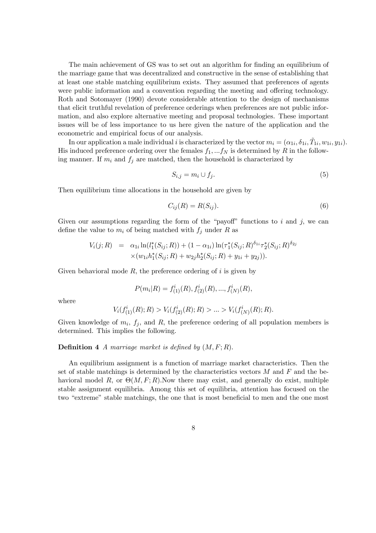The main achievement of GS was to set out an algorithm for finding an equilibrium of the marriage game that was decentralized and constructive in the sense of establishing that at least one stable matching equilibrium exists. They assumed that preferences of agents were public information and a convention regarding the meeting and offering technology. Roth and Sotomayer (1990) devote considerable attention to the design of mechanisms that elicit truthful revelation of preference orderings when preferences are not public information, and also explore alternative meeting and proposal technologies. These important issues will be of less importance to us here given the nature of the application and the econometric and empirical focus of our analysis.

In our application a male individual i is characterized by the vector  $m_i = (\alpha_{1i}, \delta_{1i}, \tilde{T}_{1i}, w_{1i}, y_{1i}).$ His induced preference ordering over the females  $f_1, \ldots, f_N$  is determined by R in the following manner. If  $m_i$  and  $f_j$  are matched, then the household is characterized by

$$
S_{i,j} = m_i \cup f_j. \tag{5}
$$

Then equilibrium time allocations in the household are given by

$$
C_{ij}(R) = R(S_{ij}).\tag{6}
$$

Given our assumptions regarding the form of the "payoff" functions to i and j, we can define the value to  $m_i$  of being matched with  $f_j$  under R as

$$
V_i(j;R) = \alpha_{1i} \ln(l_1^*(S_{ij};R)) + (1 - \alpha_{1i}) \ln(\tau_1^*(S_{ij};R)^{\delta_{1i}} \tau_2^*(S_{ij};R)^{\delta_{2j}} \times (w_{1i}h_1^*(S_{ij};R) + w_{2j}h_2^*(S_{ij};R) + y_{1i} + y_{2j})).
$$

Given behavioral mode  $R$ , the preference ordering of i is given by

$$
P(m_i|R) = f_{(1)}^i(R), f_{(2)}^i(R), ..., f_{(N)}^i(R),
$$

where

$$
V_i(f^i_{(1)}(R);R) > V_i(f^i_{(2)}(R);R) > \dots > V_i(f^i_{(N)}(R);R).
$$

Given knowledge of  $m_i$ ,  $f_i$ , and  $R$ , the preference ordering of all population members is determined. This implies the following.

#### **Definition 4** A marriage market is defined by  $(M, F; R)$ .

An equilibrium assignment is a function of marriage market characteristics. Then the set of stable matchings is determined by the characteristics vectors  $M$  and  $F$  and the behavioral model R, or  $\Theta(M, F; R)$ . Now there may exist, and generally do exist, multiple stable assignment equilibria. Among this set of equilibria, attention has focused on the two "extreme" stable matchings, the one that is most beneficial to men and the one most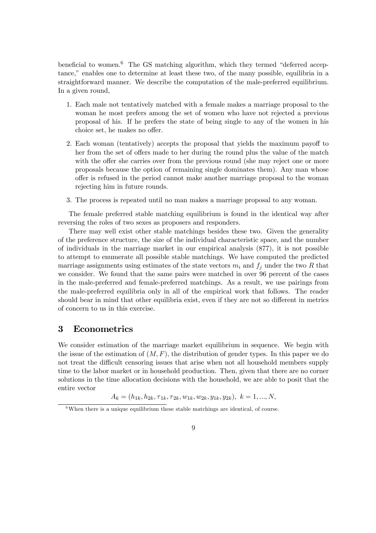beneficial to women. $6$  The GS matching algorithm, which they termed "deferred acceptance," enables one to determine at least these two, of the many possible, equilibria in a straightforward manner. We describe the computation of the male-preferred equilibrium. In a given round,

- 1. Each male not tentatively matched with a female makes a marriage proposal to the woman he most prefers among the set of women who have not rejected a previous proposal of his. If he prefers the state of being single to any of the women in his choice set, he makes no offer.
- 2. Each woman (tentatively) accepts the proposal that yields the maximum payoff to her from the set of offers made to her during the round plus the value of the match with the offer she carries over from the previous round (she may reject one or more proposals because the option of remaining single dominates them). Any man whose offer is refused in the period cannot make another marriage proposal to the woman rejecting him in future rounds.
- 3. The process is repeated until no man makes a marriage proposal to any woman.

The female preferred stable matching equilibrium is found in the identical way after reversing the roles of two sexes as proposers and responders.

There may well exist other stable matchings besides these two. Given the generality of the preference structure, the size of the individual characteristic space, and the number of individuals in the marriage market in our empirical analysis (877), it is not possible to attempt to enumerate all possible stable matchings. We have computed the predicted marriage assignments using estimates of the state vectors  $m_i$  and  $f_j$  under the two R that we consider. We found that the same pairs were matched in over 96 percent of the cases in the male-preferred and female-preferred matchings. As a result, we use pairings from the male-preferred equilibria only in all of the empirical work that follows. The reader should bear in mind that other equilibria exist, even if they are not so different in metrics of concern to us in this exercise.

# 3 Econometrics

We consider estimation of the marriage market equilibrium in sequence. We begin with the issue of the estimation of  $(M, F)$ , the distribution of gender types. In this paper we do not treat the difficult censoring issues that arise when not all household members supply time to the labor market or in household production. Then, given that there are no corner solutions in the time allocation decisions with the household, we are able to posit that the entire vector

$$
A_k = (h_{1k}, h_{2k}, \tau_{1k}, \tau_{2k}, w_{1k}, w_{2k}, y_{1k}, y_{2k}), \ k = 1, ..., N,
$$

 $6$ When there is a unique equilibrium these stable matchings are identical, of course.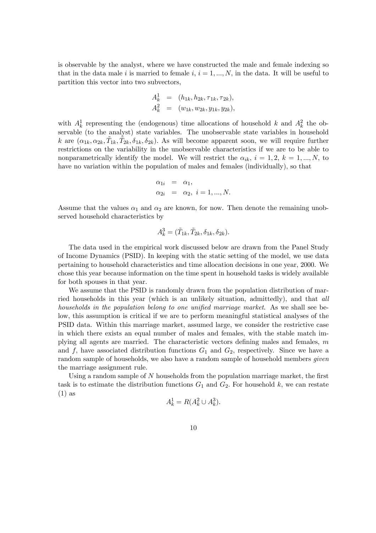is observable by the analyst, where we have constructed the male and female indexing so that in the data male i is married to female i,  $i = 1, ..., N$ , in the data. It will be useful to partition this vector into two subvectors,

$$
A_k^1 = (h_{1k}, h_{2k}, \tau_{1k}, \tau_{2k}), A_k^2 = (w_{1k}, w_{2k}, y_{1k}, y_{2k}),
$$

with  $A_k^1$  representing the (endogenous) time allocations of household k and  $A_k^2$  the observable (to the analyst) state variables. The unobservable state variables in household k are  $(\alpha_{1k}, \alpha_{2k}, \tilde{T}_{1k}, \tilde{T}_{2k}, \delta_{1k}, \delta_{2k})$ . As will become apparent soon, we will require further restrictions on the variability in the unobservable characteristics if we are to be able to nonparametrically identify the model. We will restrict the  $\alpha_{ik}$ ,  $i = 1, 2, k = 1, ..., N$ , to have no variation within the population of males and females (individually), so that

$$
\alpha_{1i} = \alpha_1,\n\alpha_{2i} = \alpha_2, i = 1, ..., N.
$$

Assume that the values  $\alpha_1$  and  $\alpha_2$  are known, for now. Then denote the remaining unobserved household characteristics by

$$
A_k^3 = (\tilde{T}_{1k}, \tilde{T}_{2k}, \delta_{1k}, \delta_{2k}).
$$

The data used in the empirical work discussed below are drawn from the Panel Study of Income Dynamics (PSID). In keeping with the static setting of the model, we use data pertaining to household characteristics and time allocation decisions in one year, 2000. We chose this year because information on the time spent in household tasks is widely available for both spouses in that year.

We assume that the PSID is randomly drawn from the population distribution of married households in this year (which is an unlikely situation, admittedly), and that all households in the population belong to one unified marriage market. As we shall see below, this assumption is critical if we are to perform meaningful statistical analyses of the PSID data. Within this marriage market, assumed large, we consider the restrictive case in which there exists an equal number of males and females, with the stable match implying all agents are married. The characteristic vectors defining males and females, m and f, have associated distribution functions  $G_1$  and  $G_2$ , respectively. Since we have a random sample of households, we also have a random sample of household members *given* the marriage assignment rule.

Using a random sample of N households from the population marriage market, the first task is to estimate the distribution functions  $G_1$  and  $G_2$ . For household k, we can restate (1) as

$$
A_k^1 = R(A_k^2 \cup A_k^3).
$$

10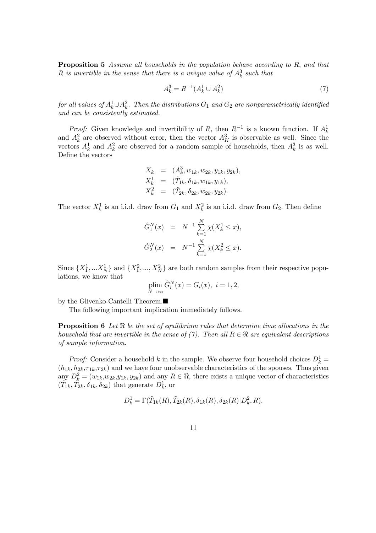Proposition 5 Assume all households in the population behave according to R, and that R is invertible in the sense that there is a unique value of  $A_k^3$  such that

$$
A_k^3 = R^{-1}(A_k^1 \cup A_k^2) \tag{7}
$$

for all values of  $A^1_k\cup A^2_k$ . Then the distributions  $G_1$  and  $G_2$  are nonparametrically identified and can be consistently estimated.

*Proof:* Given knowledge and invertibility of R, then  $R^{-1}$  is a known function. If  $A_k^1$ and  $A_k^2$  are observed without error, then the vector  $A_K^3$  is observable as well. Since the vectors  $A_k^1$  and  $A_k^2$  are observed for a random sample of households, then  $A_k^3$  is as well. Define the vectors

$$
X_k = (A_k^3, w_{1k}, w_{2k}, y_{1k}, y_{2k}),
$$
  
\n
$$
X_k^1 = (\tilde{T}_{1k}, \delta_{1k}, w_{1k}, y_{1k}),
$$
  
\n
$$
X_k^2 = (\tilde{T}_{2k}, \delta_{2k}, w_{2k}, y_{2k}).
$$

The vector  $X_k^1$  is an i.i.d. draw from  $G_1$  and  $X_k^2$  is an i.i.d. draw from  $G_2$ . Then define

$$
\hat{G}_1^N(x) = N^{-1} \sum_{k=1}^N \chi(X_k^1 \le x),
$$
  

$$
\hat{G}_2^N(x) = N^{-1} \sum_{k=1}^N \chi(X_k^2 \le x).
$$

Since  $\{X_1^1, \dots, X_N^1\}$  and  $\{X_1^2, \dots, X_N^2\}$  are both random samples from their respective populations, we know that

$$
\operatorname{plim}_{N \to \infty} \hat{G}_i^N(x) = G_i(x), \ i = 1, 2,
$$

by the Glivenko-Cantelli Theorem. $\blacksquare$ 

The following important implication immediately follows.

**Proposition 6** Let  $\Re$  be the set of equilibrium rules that determine time allocations in the household that are invertible in the sense of (7). Then all  $R \in \mathbb{R}$  are equivalent descriptions of sample information.

*Proof:* Consider a household k in the sample. We observe four household choices  $D_k^1 =$  $(h_{1k}, h_{2k}, \tau_{1k}, \tau_{2k})$  and we have four unobservable characteristics of the spouses. Thus given any  $D_k^2 = (w_{1k}, w_{2k}, y_{1k}, y_{2k})$  and any  $R \in \mathbb{R}$ , there exists a unique vector of characteristics  $(\tilde{T}_{1k}, \tilde{T}_{2k}, \delta_{1k}, \delta_{2k})$  that generate  $D_k^1$ , or

$$
D_k^1 = \Gamma(\tilde{T}_{1k}(R), \tilde{T}_{2k}(R), \delta_{1k}(R), \delta_{2k}(R)|D_k^2, R).
$$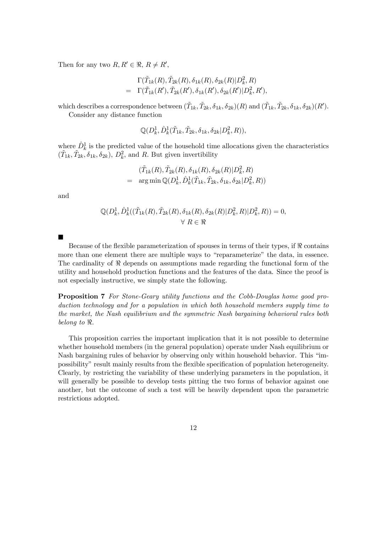Then for any two  $R, R' \in \mathbb{R}, R \neq R'$ ,

$$
\Gamma(\tilde{T}_{1k}(R), \tilde{T}_{2k}(R), \delta_{1k}(R), \delta_{2k}(R)|D_k^2, R) \n= \Gamma(\tilde{T}_{1k}(R'), \tilde{T}_{2k}(R'), \delta_{1k}(R'), \delta_{2k}(R')|D_k^2, R'),
$$

which describes a correspondence between  $(\tilde{T}_{1k}, \tilde{T}_{2k}, \delta_{1k}, \delta_{2k})(R)$  and  $(\tilde{T}_{1k}, \tilde{T}_{2k}, \delta_{1k}, \delta_{2k})(R')$ .

Consider any distance function

 $\mathbb{Q}(D^1_k, \hat{D}^1_k(\tilde{T}_{1k}, \tilde{T}_{2k}, \delta_{1k}, \delta_{2k}|D^2_k, R)),$ 

where  $\hat{D}_k^1$  is the predicted value of the household time allocations given the characteristics  $(\tilde{T}_{1k}, \tilde{T}_{2k}, \tilde{\delta}_{1k}, \tilde{\delta}_{2k}), D_k^2$ , and R. But given invertibility

$$
(\tilde{T}_{1k}(R), \tilde{T}_{2k}(R), \delta_{1k}(R), \delta_{2k}(R)|D_k^2, R) = \arg \min \mathbb{Q}(D_k^1, \hat{D}_k^1(\tilde{T}_{1k}, \tilde{T}_{2k}, \delta_{1k}, \delta_{2k}|D_k^2, R))
$$

and

$$
\mathbb{Q}(D_k^1, \hat{D}_k^1((\tilde{T}_{1k}(R), \tilde{T}_{2k}(R), \delta_{1k}(R), \delta_{2k}(R)|D_k^2, R)|D_k^2, R)) = 0,
$$
  

$$
\forall R \in \mathbb{R}
$$

 $\blacksquare$ 

Because of the flexible parameterization of spouses in terms of their types, if  $\Re$  contains more than one element there are multiple ways to "reparameterize" the data, in essence. The cardinality of  $\Re$  depends on assumptions made regarding the functional form of the utility and household production functions and the features of the data. Since the proof is not especially instructive, we simply state the following.

Proposition 7 For Stone-Geary utility functions and the Cobb-Douglas home good production technology and for a population in which both household members supply time to the market, the Nash equilibrium and the symmetric Nash bargaining behavioral rules both belong to  $\Re$ .

This proposition carries the important implication that it is not possible to determine whether household members (in the general population) operate under Nash equilibrium or Nash bargaining rules of behavior by observing only within household behavior. This "impossibility" result mainly results from the flexible specification of population heterogeneity. Clearly, by restricting the variability of these underlying parameters in the population, it will generally be possible to develop tests pitting the two forms of behavior against one another, but the outcome of such a test will be heavily dependent upon the parametric restrictions adopted.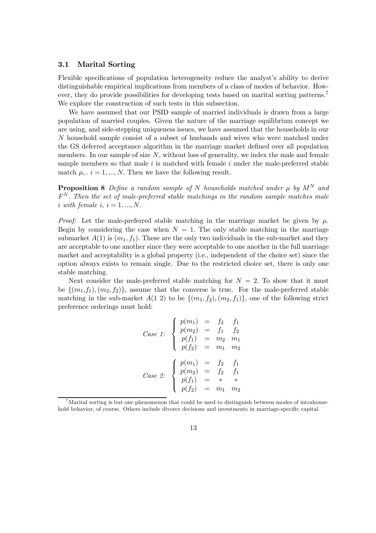#### 3.1 Marital Sorting

Flexible specifications of population heterogeneity reduce the analyst's ability to derive distinguishable empirical implications from members of a class of modes of behavior. However, they do provide possibilities for developing tests based on marital sorting patterns.<sup>7</sup> We explore the construction of such tests in this subsection.

We have assumed that our PSID sample of married individuals is drawn from a large population of married couples. Given the nature of the marriage equilibrium concept we are using, and side-stepping uniqueness issues, we have assumed that the households in our N household sample consist of a subset of husbands and wives who were matched under the GS deferred acceptance algorithm in the marriage market defined over all population members. In our sample of size  $N$ , without loss of generality, we index the male and female sample members so that male  $i$  is matched with female  $i$  under the male-preferred stable match  $\mu$ ,  $i = 1, ..., N$ . Then we have the following result.

**Proposition 8** Define a random sample of N households matched under  $\mu$  by  $M^N$  and  $F<sup>N</sup>$ . Then the set of male-preferred stable matchings in the random sample matches male i with female i,  $i = 1, ..., N$ .

*Proof:* Let the male-preferred stable matching in the marriage market be given by  $\mu$ . Begin by considering the case when  $N = 1$ . The only stable matching in the marriage submarket  $A(1)$  is  $(m_1, f_1)$ . These are the only two individuals in the sub-market and they are acceptable to one another since they were acceptable to one another in the full marriage market and acceptability is a global property (i.e., independent of the choice set) since the option always exists to remain single. Due to the restricted choice set, there is only one stable matching.

Next consider the male-preferred stable matching for  $N = 2$ . To show that it must be  $\{(m_1,f_1),(m_2,f_2)\}\$ , assume that the converse is true. For the male-preferred stable matching in the sub-market  $A(1\ 2)$  to be  $\{(m_1, f_2), (m_2, f_1)\}$ , one of the following strict preference orderings must hold:

Case 1: 
$$
\begin{cases} p(m_1) = f_2 & f_1 \\ p(m_2) = f_1 & f_2 \\ p(f_1) = m_2 & m_1 \\ p(f_2) = m_1 & m_2 \end{cases}
$$
  
Case 2: 
$$
\begin{cases} p(m_1) = f_2 & f_1 \\ p(m_2) = f_2 & f_1 \\ p(f_1) = * & * \\ p(f_2) = m_1 & m_2 \end{cases}
$$

<sup>7</sup>Marital sorting is but one phenomenon that could be used to distinguish between modes of intrahousehold behavior, of course. Others include divorce decisions and investments in marriage-specific capital.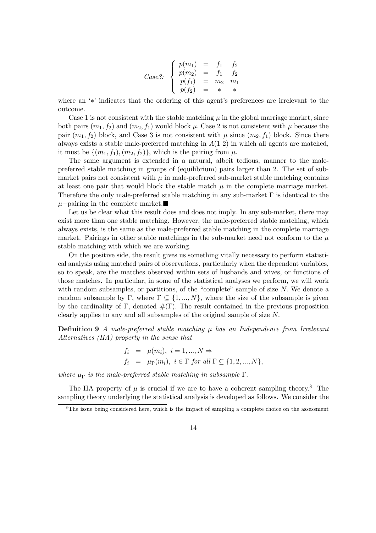Case3: 
$$
\begin{cases} p(m_1) = f_1 & f_2 \\ p(m_2) = f_1 & f_2 \\ p(f_1) = m_2 & m_1 \\ p(f_2) = * & * \end{cases}
$$

where an '∗' indicates that the ordering of this agent's preferences are irrelevant to the outcome.

Case 1 is not consistent with the stable matching  $\mu$  in the global marriage market, since both pairs  $(m_1, f_2)$  and  $(m_2, f_1)$  would block  $\mu$ . Case 2 is not consistent with  $\mu$  because the pair  $(m_1, f_2)$  block, and Case 3 is not consistent with  $\mu$  since  $(m_2, f_1)$  block. Since there always exists a stable male-preferred matching in  $A(1\ 2)$  in which all agents are matched, it must be  $\{(m_1, f_1), (m_2, f_2)\}\$ , which is the pairing from  $\mu$ .

The same argument is extended in a natural, albeit tedious, manner to the malepreferred stable matching in groups of (equilibrium) pairs larger than 2. The set of submarket pairs not consistent with  $\mu$  in male-preferred sub-market stable matching contains at least one pair that would block the stable match  $\mu$  in the complete marriage market. Therefore the only male-preferred stable matching in any sub-market  $\Gamma$  is identical to the  $\mu$ −pairing in the complete market.

Let us be clear what this result does and does not imply. In any sub-market, there may exist more than one stable matching. However, the male-preferred stable matching, which always exists, is the same as the male-preferred stable matching in the complete marriage market. Pairings in other stable matchings in the sub-market need not conform to the  $\mu$ stable matching with which we are working.

On the positive side, the result gives us something vitally necessary to perform statistical analysis using matched pairs of observations, particularly when the dependent variables, so to speak, are the matches observed within sets of husbands and wives, or functions of those matches. In particular, in some of the statistical analyses we perform, we will work with random subsamples, or partitions, of the "complete" sample of size N. We denote a random subsample by Γ, where  $\Gamma \subset \{1, ..., N\}$ , where the size of the subsample is given by the cardinality of Γ, denoted  $#(\Gamma)$ . The result contained in the previous proposition clearly applies to any and all subsamples of the original sample of size N.

**Definition 9** A male-preferred stable matching  $\mu$  has an Independence from Irrelevant Alternatives (IIA) property in the sense that

$$
f_i = \mu(m_i), \quad i = 1, \ldots, N \Rightarrow
$$
  
\n
$$
f_i = \mu_{\Gamma}(m_i), \quad i \in \Gamma \text{ for all } \Gamma \subseteq \{1, 2, \ldots, N\},
$$

where  $\mu_{\Gamma}$  is the male-preferred stable matching in subsample  $\Gamma$ .

The IIA property of  $\mu$  is crucial if we are to have a coherent sampling theory.<sup>8</sup> The sampling theory underlying the statistical analysis is developed as follows. We consider the

 $8$ The issue being considered here, which is the impact of sampling a complete choice on the assessment

<sup>14</sup>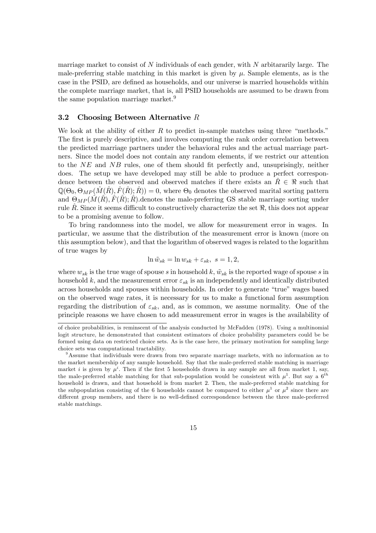marriage market to consist of  $N$  individuals of each gender, with  $N$  arbitrarily large. The male-preferring stable matching in this market is given by  $\mu$ . Sample elements, as is the case in the PSID, are defined as households, and our universe is married households within the complete marriage market, that is, all PSID households are assumed to be drawn from the same population marriage market.<sup>9</sup>

#### 3.2 Choosing Between Alternative  $R$

We look at the ability of either  $R$  to predict in-sample matches using three "methods." The first is purely descriptive, and involves computing the rank order correlation between the predicted marriage partners under the behavioral rules and the actual marriage partners. Since the model does not contain any random elements, if we restrict our attention to the NE and NB rules, one of them should fit perfectly and, unsuprisingly, neither does. The setup we have developed may still be able to produce a perfect correspondence between the observed and observed matches if there exists an  $R \in \mathbb{R}$  such that  $\mathbb{Q}(\Theta_0, \Theta_{MP}(\hat{M}(\hat{R}), \hat{F}(\hat{R}); \hat{R})) = 0$ , where  $\Theta_0$  denotes the observed marital sorting pattern and  $\Theta_{MP}(M(R), F(R); R)$ , denotes the male-preferring GS stable marriage sorting under rule  $\hat{R}$ . Since it seems difficult to constructively characterize the set  $\Re$ , this does not appear to be a promising avenue to follow.

To bring randomness into the model, we allow for measurement error in wages. In particular, we assume that the distribution of the measurement error is known (more on this assumption below), and that the logarithm of observed wages is related to the logarithm of true wages by

$$
\ln \tilde{w}_{sk} = \ln w_{sk} + \varepsilon_{sk}, \ s = 1, 2,
$$

where  $w_{sk}$  is the true wage of spouse s in household k,  $\tilde{w}_{sk}$  is the reported wage of spouse s in household k, and the measurement error  $\varepsilon_{sk}$  is an independently and identically distributed across households and spouses within households. In order to generate "true" wages based on the observed wage rates, it is necessary for us to make a functional form assumption regarding the distribution of  $\varepsilon_{sk}$ , and, as is common, we assume normality. One of the principle reasons we have chosen to add measurement error in wages is the availability of

of choice probabilities, is reminscent of the analysis conducted by McFadden (1978). Using a multinomial logit structure, he demonstrated that consistent estimators of choice probability parameters could be be formed using data on restricted choice sets. As is the case here, the primary motivation for sampling large choice sets was computational tractability.

<sup>9</sup>Assume that individuals were drawn from two separate marriage markets, with no information as to the market membership of any sample household. Say that the male-preferred stable matching in marriage market i is given by  $\mu^i$ . Then if the first 5 households drawn in any sample are all from market 1, say, the male-preferred stable matching for that sub-population would be consistent with  $\mu^1$ . But say a  $6^{th}$ household is drawn, and that household is from market 2. Then, the male-preferred stable matching for the subpopulation consisting of the 6 households cannot be compared to either  $\mu^1$  or  $\mu^2$  since there are different group members, and there is no well-defined correspondence between the three male-preferred stable matchings.

<sup>15</sup>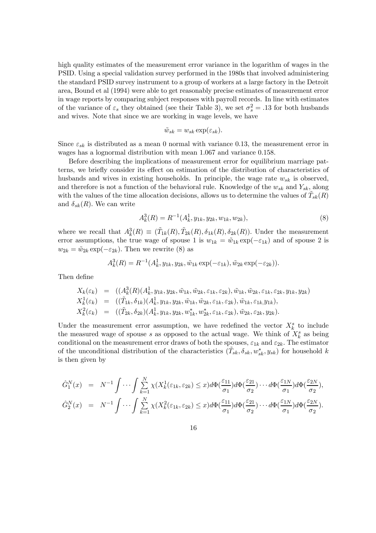high quality estimates of the measurement error variance in the logarithm of wages in the PSID. Using a special validation survey performed in the 1980s that involved administering the standard PSID survey instrument to a group of workers at a large factory in the Detroit area, Bound et al (1994) were able to get reasonably precise estimates of measurement error in wage reports by comparing subject responses with payroll records. In line with estimates of the variance of  $\varepsilon_s$  they obtained (see their Table 3), we set  $\sigma_s^2 = .13$  for both husbands and wives. Note that since we are working in wage levels, we have

$$
\tilde{w}_{sk} = w_{sk} \exp(\varepsilon_{sk}).
$$

Since  $\varepsilon_{sk}$  is distributed as a mean 0 normal with variance 0.13, the measurement error in wages has a lognormal distribution with mean 1.067 and variance 0.158.

Before describing the implications of measurement error for equilibrium marriage patterns, we briefly consider its effect on estimation of the distribution of characteristics of husbands and wives in existing households. In principle, the wage rate  $w_{sk}$  is observed, and therefore is not a function of the behavioral rule. Knowledge of the  $w_{sk}$  and  $Y_{sk}$ , along with the values of the time allocation decisions, allows us to determine the values of  $\tilde{T}_{sk}(R)$ and  $\delta_{sk}(R)$ . We can write

$$
A_k^3(R) = R^{-1}(A_k^1, y_{1k}, y_{2k}, w_{1k}, w_{2k}),
$$
\n(8)

where we recall that  $A_k^3(R) \equiv (\tilde{T}_{1k}(R), \tilde{T}_{2k}(R), \delta_{1k}(R), \delta_{2k}(R))$ . Under the measurement error assumptions, the true wage of spouse 1 is  $w_{1k} = \tilde{w}_{1k} \exp(-\varepsilon_{1k})$  and of spouse 2 is  $w_{2k} = \tilde{w}_{2k} \exp(-\varepsilon_{2k})$ . Then we rewrite (8) as

$$
A_k^3(R) = R^{-1}(A_k^1, y_{1k}, y_{2k}, \tilde{w}_{1k} \exp(-\varepsilon_{1k}), \tilde{w}_{2k} \exp(-\varepsilon_{2k})).
$$

Then define

$$
X_k(\varepsilon_k) = ((A_k^3(R)(A_k^1, y_{1k}, y_{2k}, \tilde{w}_{1k}, \tilde{w}_{2k}, \varepsilon_{1k}, \varepsilon_{2k}), \tilde{w}_{1k}, \tilde{w}_{2k}, \varepsilon_{1k}, \varepsilon_{2k}, y_{1k}, y_{2k})
$$
  
\n
$$
X_k^1(\varepsilon_k) = ((\tilde{T}_{1k}, \delta_{1k})(A_k^1, y_{1k}, y_{2k}, \tilde{w}_{1k}, \tilde{w}_{2k}, \varepsilon_{1k}, \varepsilon_{2k}), \tilde{w}_{1k}, \varepsilon_{1k}, y_{1k}),
$$
  
\n
$$
X_k^2(\varepsilon_k) = ((\tilde{T}_{2k}, \delta_{2k})(A_k^1, y_{1k}, y_{2k}, w_{1k}^*, w_{2k}^*, \varepsilon_{1k}, \varepsilon_{2k}), \tilde{w}_{2k}, \varepsilon_{2k}, y_{2k}).
$$

Under the measurement error assumption, we have redefined the vector  $X_k^s$  to include the measured wage of spouse s as opposed to the actual wage. We think of  $X_k^s$  as being conditional on the measurement error draws of both the spouses,  $\varepsilon_{1k}$  and  $\varepsilon_{2k}$ . The estimator of the unconditional distribution of the characteristics  $(\tilde{T}_{sk}, \delta_{sk}, w^*_{sk}, y_{sk})$  for household k is then given by

$$
\hat{G}_1^N(x) = N^{-1} \int \cdots \int \sum_{k=1}^N \chi(X_k^1(\varepsilon_{1k}, \varepsilon_{2k}) \le x) d\Phi(\frac{\varepsilon_{11}}{\sigma_1}) d\Phi(\frac{\varepsilon_{21}}{\sigma_2}) \cdots d\Phi(\frac{\varepsilon_{1N}}{\sigma_1}) d\Phi(\frac{\varepsilon_{2N}}{\sigma_2}),
$$
  

$$
\hat{G}_2^N(x) = N^{-1} \int \cdots \int \sum_{k=1}^N \chi(X_k^2(\varepsilon_{1k}, \varepsilon_{2k}) \le x) d\Phi(\frac{\varepsilon_{11}}{\sigma_1}) d\Phi(\frac{\varepsilon_{21}}{\sigma_2}) \cdots d\Phi(\frac{\varepsilon_{1N}}{\sigma_1}) d\Phi(\frac{\varepsilon_{2N}}{\sigma_2}).
$$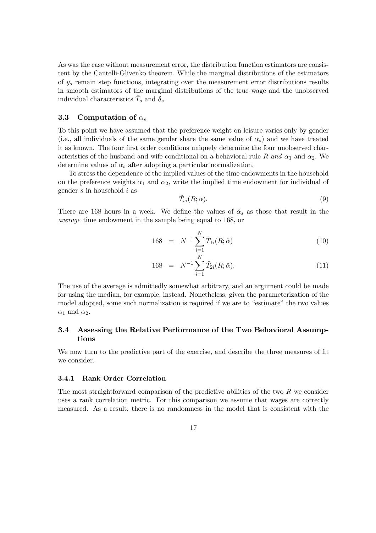As was the case without measurement error, the distribution function estimators are consistent by the Cantelli-Glivenko theorem. While the marginal distributions of the estimators of  $y_s$  remain step functions, integrating over the measurement error distributions results in smooth estimators of the marginal distributions of the true wage and the unobserved individual characteristics  $\tilde{T}_s$  and  $\delta_s$ .

#### 3.3 Computation of  $\alpha_s$

To this point we have assumed that the preference weight on leisure varies only by gender (i.e., all individuals of the same gender share the same value of  $\alpha_s$ ) and we have treated it as known. The four first order conditions uniquely determine the four unobserved characteristics of the husband and wife conditional on a behavioral rule R and  $\alpha_1$  and  $\alpha_2$ . We determine values of  $\alpha_s$  after adopting a particular normalization.

To stress the dependence of the implied values of the time endowments in the household on the preference weights  $\alpha_1$  and  $\alpha_2$ , write the implied time endowment for individual of gender s in household i as

$$
\tilde{T}_{si}(R; \alpha). \tag{9}
$$

There are 168 hours in a week. We define the values of  $\hat{\alpha}_s$  as those that result in the average time endowment in the sample being equal to 168, or

$$
168 = N^{-1} \sum_{i=1}^{N} \tilde{T}_{1i}(R; \hat{\alpha})
$$
\n(10)

168 = 
$$
N^{-1} \sum_{i=1}^{N} \tilde{T}_{2i}(R; \hat{\alpha}).
$$
 (11)

The use of the average is admittedly somewhat arbitrary, and an argument could be made for using the median, for example, instead. Nonetheless, given the parameterization of the model adopted, some such normalization is required if we are to "estimate" the two values  $\alpha_1$  and  $\alpha_2$ .

### 3.4 Assessing the Relative Performance of the Two Behavioral Assumptions

We now turn to the predictive part of the exercise, and describe the three measures of fit we consider.

#### 3.4.1 Rank Order Correlation

The most straightforward comparison of the predictive abilities of the two R we consider uses a rank correlation metric. For this comparison we assume that wages are correctly measured. As a result, there is no randomness in the model that is consistent with the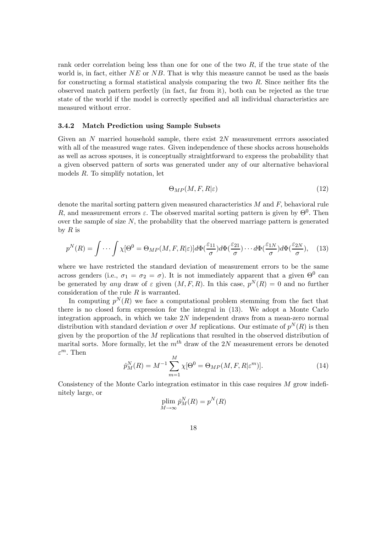rank order correlation being less than one for one of the two  $R$ , if the true state of the world is, in fact, either  $NE$  or  $NB$ . That is why this measure cannot be used as the basis for constructing a formal statistical analysis comparing the two R. Since neither fits the observed match pattern perfectly (in fact, far from it), both can be rejected as the true state of the world if the model is correctly specified and all individual characteristics are measured without error.

#### 3.4.2 Match Prediction using Sample Subsets

Given an N married household sample, there exist 2N measurement errrors associated with all of the measured wage rates. Given independence of these shocks across households as well as across spouses, it is conceptually straightforward to express the probability that a given observed pattern of sorts was generated under any of our alternative behavioral models R. To simplify notation, let

$$
\Theta_{MP}(M, F, R|\varepsilon) \tag{12}
$$

denote the marital sorting pattern given measured characteristics  $M$  and  $F$ , behavioral rule R, and measurement errors  $\varepsilon$ . The observed marital sorting pattern is given by  $\Theta^0$ . Then over the sample of size  $N$ , the probability that the observed marriage pattern is generated by  $R$  is

$$
p^{N}(R) = \int \cdots \int \chi[\Theta^0 = \Theta_{MP}(M, F, R|\varepsilon)] d\Phi(\frac{\varepsilon_{11}}{\sigma}) d\Phi(\frac{\varepsilon_{21}}{\sigma}) \cdots d\Phi(\frac{\varepsilon_{1N}}{\sigma}) d\Phi(\frac{\varepsilon_{2N}}{\sigma}), \quad (13)
$$

where we have restricted the standard deviation of measurement errors to be the same across genders (i.e.,  $\sigma_1 = \sigma_2 = \sigma$ ). It is not immediately apparent that a given  $\Theta^0$  can be generated by any draw of  $\varepsilon$  given  $(M, F, R)$ . In this case,  $p^N(R)=0$  and no further consideration of the rule  $R$  is warranted.

In computing  $p^{N}(R)$  we face a computational problem stemming from the fact that there is no closed form expression for the integral in (13). We adopt a Monte Carlo integration approach, in which we take  $2N$  independent draws from a mean-zero normal distribution with standard deviation  $\sigma$  over M replications. Our estimate of  $p^N(R)$  is then given by the proportion of the M replications that resulted in the observed distribution of marital sorts. More formally, let the  $m<sup>th</sup>$  draw of the 2N measurement errors be denoted  $\varepsilon^m$ . Then

$$
\hat{p}_M^N(R) = M^{-1} \sum_{m=1}^M \chi[\Theta^0 = \Theta_{MP}(M, F, R | \varepsilon^m)].
$$
\n(14)

Consistency of the Monte Carlo integration estimator in this case requires M grow indefinitely large, or

$$
\operatorname*{plim}_{M \to \infty} \hat{p}_M^N(R) = p^N(R)
$$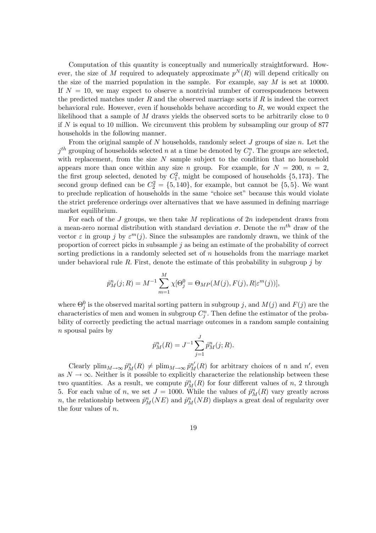Computation of this quantity is conceptually and numerically straightforward. However, the size of M required to adequately approximate  $p^{N}(R)$  will depend critically on the size of the married population in the sample. For example, say  $M$  is set at 10000. If  $N = 10$ , we may expect to observe a nontrivial number of correspondences between the predicted matches under  $R$  and the observed marriage sorts if  $R$  is indeed the correct behavioral rule. However, even if households behave according to  $R$ , we would expect the likelihood that a sample of  $M$  draws yields the observed sorts to be arbitrarily close to 0 if  $N$  is equal to 10 million. We circumvent this problem by subsampling our group of 877 households in the following manner.

From the original sample of N households, randomly select  $J$  groups of size  $n$ . Let the  $j^{th}$  grouping of households selected n at a time be denoted by  $C_j^n$ . The groups are selected, with replacement, from the size  $N$  sample subject to the condition that no household appears more than once within any size n group. For example, for  $N = 200$ ,  $n = 2$ , the first group selected, denoted by  $C_1^2$ , might be composed of households  $\{5, 173\}$ . The second group defined can be  $C_2^2 = \{5, 140\}$ , for example, but cannot be  $\{5, 5\}$ . We want to preclude replication of households in the same "choice set" because this would violate the strict preference orderings over alternatives that we have assumed in defining marriage market equilibrium.

For each of the  $J$  groups, we then take  $M$  replications of  $2n$  independent draws from a mean-zero normal distribution with standard deviation  $\sigma$ . Denote the  $m<sup>th</sup>$  draw of the vector  $\varepsilon$  in group j by  $\varepsilon^{m}(j)$ . Since the subsamples are randomly drawn, we think of the proportion of correct picks in subsample  $j$  as being an estimate of the probability of correct sorting predictions in a randomly selected set of  $n$  households from the marriage market under behavioral rule R. First, denote the estimate of this probability in subgroup  $j$  by

$$
\hat{p}_M^n(j;R) = M^{-1} \sum_{m=1}^M \chi[\Theta_j^0 = \Theta_{MP}(M(j), F(j), R | \varepsilon^m(j))],
$$

where  $\Theta_j^0$  is the observed marital sorting pattern in subgroup j, and  $M(j)$  and  $F(j)$  are the characteristics of men and women in subgroup  $C_j^n$ . Then define the estimator of the probability of correctly predicting the actual marriage outcomes in a random sample containing n spousal pairs by

$$
\hat{p}_{M}^{n}(R) = J^{-1} \sum_{j=1}^{J} \hat{p}_{M}^{n}(j; R).
$$

Clearly  $\text{plim}_{M\to\infty} \hat{p}_M^n(R) \neq \text{plim}_{M\to\infty} \hat{p}_M^{n'}(R)$  for arbitrary choices of n and n', even as  $N \to \infty$ . Neither is it possible to explicitly characterize the relationship between these two quantities. As a result, we compute  $\hat{p}_M^n(R)$  for four different values of n, 2 through 5. For each value of n, we set  $J = 1000$ . While the values of  $\hat{p}_M^n(R)$  vary greatly across n, the relationship between  $\hat{p}_M^n(NE)$  and  $\hat{p}_M^n(NB)$  displays a great deal of regularity over the four values of n.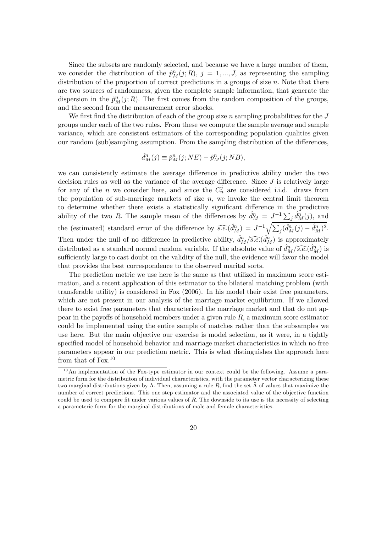Since the subsets are randomly selected, and because we have a large number of them, we consider the distribution of the  $\hat{p}_M^n(j;R)$ ,  $j = 1,...,J$ , as representing the sampling distribution of the proportion of correct predictions in a groups of size n. Note that there are two sources of randomness, given the complete sample information, that generate the dispersion in the  $\hat{p}_M^n(j;R)$ . The first comes from the random composition of the groups, and the second from the measurement error shocks.

We first find the distribution of each of the group size n sampling probabilities for the  $J$ groups under each of the two rules. From these we compute the sample average and sample variance, which are consistent estimators of the corresponding population qualities given our random (sub)sampling assumption. From the sampling distribution of the differences,

$$
\hat{d}_{M}^{n}(j) \equiv \hat{p}_{M}^{n}(j;NE) - \hat{p}_{M}^{n}(j;NB),
$$

we can consistently estimate the average difference in predictive ability under the two decision rules as well as the variance of the average difference. Since  $J$  is relatively large for any of the *n* we consider here, and since the  $C_n^j$  are considered i.i.d. draws from the population of sub-marriage markets of size  $n$ , we invoke the central limit theorem to determine whether there exists a statistically significant difference in the predictive ability of the two R. The sample mean of the differences by  $\hat{d}_{M}^{n} = J^{-1} \sum_{j} \hat{d}_{M}^{n}(j)$ , and the (estimated) standard error of the difference by  $\widehat{s.e.}(\hat{d}_{M}^{n}) = J^{-1} \sqrt{\sum_{j} (\hat{d}_{M}^{n}(j) - \hat{d}_{M}^{n})^{2}}$ . Then under the null of no difference in predictive ability,  $\hat{d}_{M}^{n}/\widehat{s.e.}(\hat{d}_{M}^{n})$  is approximately distributed as a standard normal random variable. If the absolute value of  $\hat{d}_{M}^{n}/\widehat{s.e.}(\hat{d}_{M}^{n})$  is sufficiently large to cast doubt on the validity of the null, the evidence will favor the model that provides the best correspondence to the observed marital sorts.

The prediction metric we use here is the same as that utilized in maximum score estimation, and a recent application of this estimator to the bilateral matching problem (with transferable utility) is considered in Fox (2006). In his model their exist free parameters, which are not present in our analysis of the marriage market equilibrium. If we allowed there to exist free parameters that characterized the marriage market and that do not appear in the payoffs of household members under a given rule  $R$ , a maximum score estimator could be implemented using the entire sample of matches rather than the subsamples we use here. But the main objective our exercise is model selection, as it were, in a tightly specified model of household behavior and marriage market characteristics in which no free parameters appear in our prediction metric. This is what distinguishes the approach here from that of Fox.<sup>10</sup>

 $10$ An implementation of the Fox-type estimator in our context could be the following. Assume a parametric form for the distribuiton of individual characteristics, with the parameter vector characterizing these two marginal distributions given by  $\Lambda$ . Then, assuming a rule R, find the set  $\hat{\Lambda}$  of values that maximize the number of correct predictions. This one step estimator and the associated value of the objective function could be used to compare fit under various values of R. The downside to its use is the necessity of selecting a parameteric form for the marginal distributions of male and female characteristics.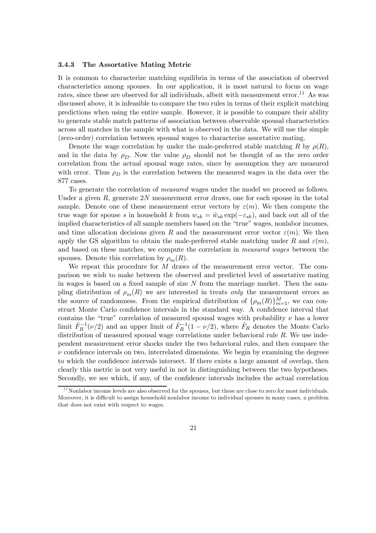#### 3.4.3 The Assortative Mating Metric

It is common to characterize matching equilibria in terms of the association of observed characteristics among spouses. In our application, it is most natural to focus on wage rates, since these are observed for all individuals, albeit with measurement error.<sup>11</sup> As was discussed above, it is infeasible to compare the two rules in terms of their explicit matching predictions when using the entire sample. However, it is possible to compare their ability to generate stable match patterns of association between observable spousal characteristics across all matches in the sample with what is observed in the data. We will use the simple (zero-order) correlation between spousal wages to characterize assortative mating.

Denote the wage correlation by under the male-preferred stable matching R by  $\rho(R)$ , and in the data by  $\rho_D$ . Now the value  $\rho_D$  should not be thought of as the zero order correlation from the actual spousal wage rates, since by assumption they are measured with error. Thus  $\rho_D$  is the correlation between the measured wages in the data over the 877 cases.

To generate the correlation of measured wages under the model we proceed as follows. Under a given  $R$ , generate  $2N$  measurement error draws, one for each spouse in the total sample. Denote one of these measurement error vectors by  $\varepsilon(m)$ . We then compute the true wage for spouse s in household k from  $w_{sk} = \tilde{w}_{sk} \exp(-\varepsilon_{sk})$ , and back out all of the implied characteristics of all sample members based on the "true" wages, nonlabor incomes, and time allocation decisions given R and the measurement error vector  $\varepsilon(m)$ . We then apply the GS algorithm to obtain the male-preferred stable matching under R and  $\varepsilon(m)$ , and based on these matches, we compute the correlation in measured wages between the spouses. Denote this correlation by  $\rho_m(R)$ .

We repeat this procedure for  $M$  draws of the measurement error vector. The comparison we wish to make between the observed and predicted level of assortative mating in wages is based on a fixed sample of size  $N$  from the marriage market. Then the sampling distribution of  $\rho_m(R)$  we are interested in treats only the measurement errors as the source of randomness. From the empirical distribution of  $\{\rho_m(R)\}_{m=1}^M$ , we can construct Monte Carlo confidence intervals in the standard way. A confidence interval that contains the "true" correlation of measured spousal wages with probability  $\nu$  has a lower limit  $\hat{F}_R^{-1}(\nu/2)$  and an upper limit of  $\hat{F}_R^{-1}(1-\nu/2)$ , where  $\hat{F}_R$  denotes the Monte Carlo distribution of measured spousal wage correlations under behavioral rule  $R$ . We use independent measurement error shocks under the two behavioral rules, and then compare the  $\nu$  confidence intervals on two, interrelated dimensions. We begin by examining the degreee to which the confidence intervals intersect. If there exists a large amount of overlap, then clearly this metric is not very useful in not in distinguishing between the two hypotheses. Secondly, we see which, if any, of the confidence intervals includes the actual correlation

 $11$  Nonlabor income levels are also observed for the spouses, but these are close to zero for most individuals. Moreover, it is difficult to assign household nonlabor income to individual spouses in many cases, a problem that does not exist with respect to wages.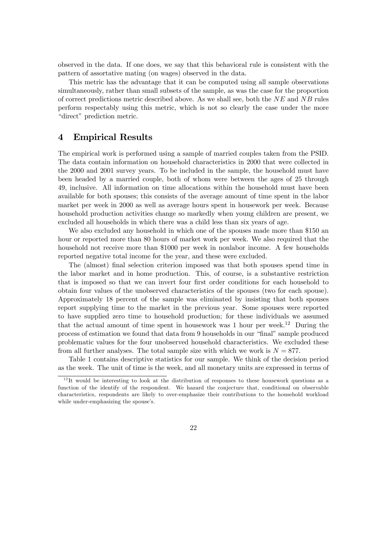observed in the data. If one does, we say that this behavioral rule is consistent with the pattern of assortative mating (on wages) observed in the data.

This metric has the advantage that it can be computed using all sample observations simultaneously, rather than small subsets of the sample, as was the case for the proportion of correct predictions metric described above. As we shall see, both the  $NE$  and  $NB$  rules perform respectably using this metric, which is not so clearly the case under the more "direct" prediction metric.

# 4 Empirical Results

The empirical work is performed using a sample of married couples taken from the PSID. The data contain information on household characteristics in 2000 that were collected in the 2000 and 2001 survey years. To be included in the sample, the household must have been headed by a married couple, both of whom were between the ages of 25 through 49, inclusive. All information on time allocations within the household must have been available for both spouses; this consists of the average amount of time spent in the labor market per week in 2000 as well as average hours spent in housework per week. Because household production activities change so markedly when young children are present, we excluded all households in which there was a child less than six years of age.

We also excluded any household in which one of the spouses made more than \$150 an hour or reported more than 80 hours of market work per week. We also required that the household not receive more than \$1000 per week in nonlabor income. A few households reported negative total income for the year, and these were excluded.

The (almost) final selection criterion imposed was that both spouses spend time in the labor market and in home production. This, of course, is a substantive restriction that is imposed so that we can invert four first order conditions for each household to obtain four values of the unobserved characteristics of the spouses (two for each spouse). Approximately 18 percent of the sample was eliminated by insisting that both spouses report supplying time to the market in the previous year. Some spouses were reported to have supplied zero time to household production; for these individuals we assumed that the actual amount of time spent in housework was 1 hour per week.12 During the process of estimation we found that data from 9 households in our "final" sample produced problematic values for the four unobserved household characteristics. We excluded these from all further analyses. The total sample size with which we work is  $N = 877$ .

Table 1 contains descriptive statistics for our sample. We think of the decision period as the week. The unit of time is the week, and all monetary units are expressed in terms of

 $12$ <sup>12</sup>It would be interesting to look at the distribution of responses to these housework questions as a function of the identify of the respondent. We hazard the conjecture that, conditional on observable characteristics, respondents are likely to over-emphasize their contributions to the household workload while under-emphasizing the spouse's.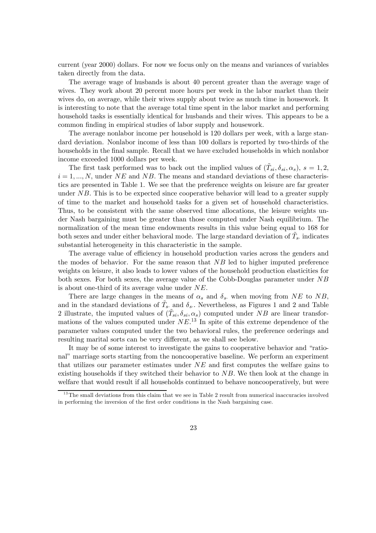current (year 2000) dollars. For now we focus only on the means and variances of variables taken directly from the data.

The average wage of husbands is about 40 percent greater than the average wage of wives. They work about 20 percent more hours per week in the labor market than their wives do, on average, while their wives supply about twice as much time in housework. It is interesting to note that the average total time spent in the labor market and performing household tasks is essentially identical for husbands and their wives. This appears to be a common finding in empirical studies of labor supply and housework.

The average nonlabor income per household is 120 dollars per week, with a large standard deviation. Nonlabor income of less than 100 dollars is reported by two-thirds of the households in the final sample. Recall that we have excluded households in which nonlabor income exceeded 1000 dollars per week.

The first task performed was to back out the implied values of  $(\tilde{T}_{si}, \delta_{si}, \alpha_s)$ ,  $s = 1, 2$ ,  $i = 1, ..., N$ , under NE and NB. The means and standard deviations of these characteristics are presented in Table 1. We see that the preference weights on leisure are far greater under  $NB$ . This is to be expected since cooperative behavior will lead to a greater supply of time to the market and household tasks for a given set of household characteristics. Thus, to be consistent with the same observed time allocations, the leisure weights under Nash bargaining must be greater than those computed under Nash equilibrium. The normalization of the mean time endowments results in this value being equal to 168 for both sexes and under either behavioral mode. The large standard deviation of  $\tilde{T}_s$ , indicates substantial heterogeneity in this characteristic in the sample.

The average value of efficiency in household production varies across the genders and the modes of behavior. For the same reason that  $NB$  led to higher imputed preference weights on leisure, it also leads to lower values of the household production elasticities for both sexes. For both sexes, the average value of the Cobb-Douglas parameter under NB is about one-third of its average value under NE.

There are large changes in the means of  $\alpha_s$  and  $\delta_s$ , when moving from NE to NB, and in the standard deviations of  $\tilde{T}_s$ , and  $\delta_s$ . Nevertheless, as Figures 1 and 2 and Table 2 illustrate, the imputed values of  $(\tilde{T}_{si}, \delta_{si}, \alpha_s)$  computed under NB are linear transformations of the values computed under  $NE^{13}$  In spite of this extreme dependence of the parameter values computed under the two behavioral rules, the preference orderings and resulting marital sorts can be very different, as we shall see below.

It may be of some interest to investigate the gains to cooperative behavior and "rational" marriage sorts starting from the noncooperative baseline. We perform an experiment that utilizes our parameter estimates under NE and first computes the welfare gains to existing households if they switched their behavior to  $NB$ . We then look at the change in welfare that would result if all households continued to behave noncooperatively, but were

 $13$ The small deviations from this claim that we see in Table 2 result from numerical inaccuracies involved in performing the inversion of the first order conditions in the Nash bargaining case.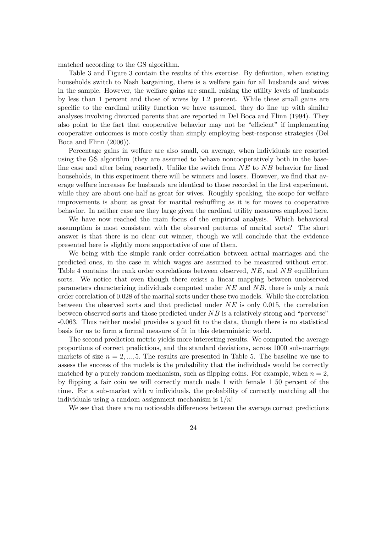matched according to the GS algorithm.

Table 3 and Figure 3 contain the results of this exercise. By definition, when existing households switch to Nash bargaining, there is a welfare gain for all husbands and wives in the sample. However, the welfare gains are small, raising the utility levels of husbands by less than 1 percent and those of wives by 1.2 percent. While these small gains are specific to the cardinal utility function we have assumed, they do line up with similar analyses involving divorced parents that are reported in Del Boca and Flinn (1994). They also point to the fact that cooperative behavior may not be "efficient" if implementing cooperative outcomes is more costly than simply employing best-response strategies (Del Boca and Flinn (2006)).

Percentage gains in welfare are also small, on average, when individuals are resorted using the GS algorithm (they are assumed to behave noncooperatively both in the baseline case and after being resorted). Unlike the switch from  $NE$  to  $NB$  behavior for fixed households, in this experiment there will be winners and losers. However, we find that average welfare increases for husbands are identical to those recorded in the first experiment, while they are about one-half as great for wives. Roughly speaking, the scope for welfare improvements is about as great for marital reshuffling as it is for moves to cooperative behavior. In neither case are they large given the cardinal utility measures employed here.

We have now reached the main focus of the empirical analysis. Which behavioral assumption is most consistent with the observed patterns of marital sorts? The short answer is that there is no clear cut winner, though we will conclude that the evidence presented here is slightly more supportative of one of them.

We being with the simple rank order correlation between actual marriages and the predicted ones, in the case in which wages are assumed to be measured without error. Table 4 contains the rank order correlations between observed,  $NE$ , and  $NB$  equilibrium sorts. We notice that even though there exists a linear mapping between unobserved parameters characterizing individuals computed under NE and NB, there is only a rank order correlation of 0.028 of the marital sorts under these two models. While the correlation between the observed sorts and that predicted under  $NE$  is only 0.015, the correlation between observed sorts and those predicted under  $NB$  is a relatively strong and "perverse" -0.063. Thus neither model provides a good fit to the data, though there is no statistical basis for us to form a formal measure of fit in this deterministic world.

The second prediction metric yields more interesting results. We computed the average proportions of correct predictions, and the standard deviations, across 1000 sub-marriage markets of size  $n = 2, \ldots, 5$ . The results are presented in Table 5. The baseline we use to assess the success of the models is the probability that the individuals would be correctly matched by a purely random mechanism, such as flipping coins. For example, when  $n = 2$ , by flipping a fair coin we will correctly match male 1 with female 1 50 percent of the time. For a sub-market with  $n$  individuals, the probability of correctly matching all the individuals using a random assignment mechanism is  $1/n!$ 

We see that there are no noticeable differences between the average correct predictions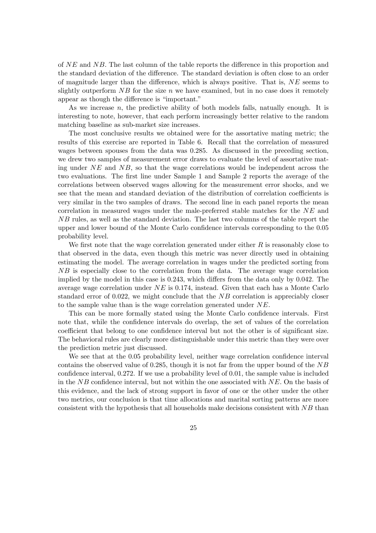of NE and NB. The last column of the table reports the difference in this proportion and the standard deviation of the difference. The standard deviation is often close to an order of magnitude larger than the difference, which is always positive. That is,  $NE$  seems to slightly outperform  $NB$  for the size n we have examined, but in no case does it remotely appear as though the difference is "important."

As we increase n, the predictive ability of both models falls, natually enough. It is interesting to note, however, that each perform increasingly better relative to the random matching baseline as sub-market size increases.

The most conclusive results we obtained were for the assortative mating metric; the results of this exercise are reported in Table 6. Recall that the correlation of measured wages between spouses from the data was 0.285. As discussed in the preceding section, we drew two samples of measurement error draws to evaluate the level of assortative mating under  $NE$  and  $NB$ , so that the wage correlations would be independent across the two evaluations. The first line under Sample 1 and Sample 2 reports the average of the correlations between observed wages allowing for the measurement error shocks, and we see that the mean and standard deviation of the distribution of correlation coefficients is very similar in the two samples of draws. The second line in each panel reports the mean correlation in measured wages under the male-preferred stable matches for the NE and NB rules, as well as the standard deviation. The last two columns of the table report the upper and lower bound of the Monte Carlo confidence intervals corresponding to the 0.05 probability level.

We first note that the wage correlation generated under either  $R$  is reasonably close to that observed in the data, even though this metric was never directly used in obtaining estimating the model. The average correlation in wages under the predicted sorting from NB is especially close to the correlation from the data. The average wage correlation implied by the model in this case is 0.243, which differs from the data only by 0.042. The average wage correlation under  $NE$  is 0.174, instead. Given that each has a Monte Carlo standard error of  $0.022$ , we might conclude that the NB correlation is appreciably closer to the sample value than is the wage correlation generated under NE.

This can be more formally stated using the Monte Carlo confidence intervals. First note that, while the confidence intervals do overlap, the set of values of the correlation coefficient that belong to one confidence interval but not the other is of significant size. The behavioral rules are clearly more distinguishable under this metric than they were over the prediction metric just discussed.

We see that at the 0.05 probability level, neither wage correlation confidence interval contains the observed value of 0.285, though it is not far from the upper bound of the NB confidence interval, 0.272. If we use a probability level of 0.01, the sample value is included in the  $NB$  confidence interval, but not within the one associated with  $NE$ . On the basis of this evidence, and the lack of strong support in favor of one or the other under the other two metrics, our conclusion is that time allocations and marital sorting patterns are more consistent with the hypothesis that all households make decisions consistent with  $NB$  than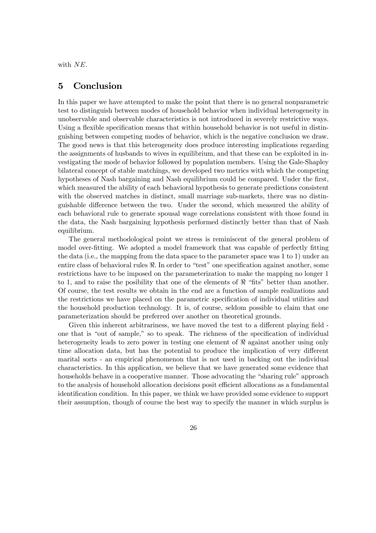with  $NE$ .

### 5 Conclusion

In this paper we have attempted to make the point that there is no general nonparametric test to distinguish between modes of household behavior when individual heterogeneity in unobservable and observable characteristics is not introduced in severely restrictive ways. Using a flexible specification means that within household behavior is not useful in distinguishing between competing modes of behavior, which is the negative conclusion we draw. The good news is that this heterogeneity does produce interesting implications regarding the assignments of husbands to wives in equilibrium, and that these can be exploited in investigating the mode of behavior followed by population members. Using the Gale-Shapley bilateral concept of stable matchings, we developed two metrics with which the competing hypotheses of Nash bargaining and Nash equilibrium could be compared. Under the first, which measured the ability of each behavioral hypothesis to generate predictions consistent with the observed matches in distinct, small marriage sub-markets, there was no distinguishable difference between the two. Under the second, which measured the ability of each behavioral rule to generate spousal wage correlations consistent with those found in the data, the Nash bargaining hypothesis performed distinctly better than that of Nash equilibrium.

The general methodological point we stress is reminiscent of the general problem of model over-fitting. We adopted a model framework that was capable of perfectly fitting the data (i.e., the mapping from the data space to the parameter space was 1 to 1) under an entire class of behavioral rules  $\Re$ . In order to "test" one specification against another, some restrictions have to be imposed on the parameterization to make the mapping no longer 1 to 1, and to raise the posibility that one of the elements of  $\Re$  "fits" better than another. Of course, the test results we obtain in the end are a function of sample realizations and the restrictions we have placed on the parametric specification of individual utilities and the household production technology. It is, of course, seldom possible to claim that one parameterization should be preferred over another on theoretical grounds.

Given this inherent arbitrariness, we have moved the test to a different playing field one that is "out of sample," so to speak. The richness of the specification of individual heterogeneity leads to zero power in testing one element of  $\Re$  against another using only time allocation data, but has the potential to produce the implication of very different marital sorts - an empirical phenomenon that is not used in backing out the individual characteristics. In this application, we believe that we have generated some evidence that households behave in a cooperative manner. Those advocating the "sharing rule" approach to the analysis of household allocation decisions posit efficient allocations as a fundamental identification condition. In this paper, we think we have provided some evidence to support their assumption, though of course the best way to specify the manner in which surplus is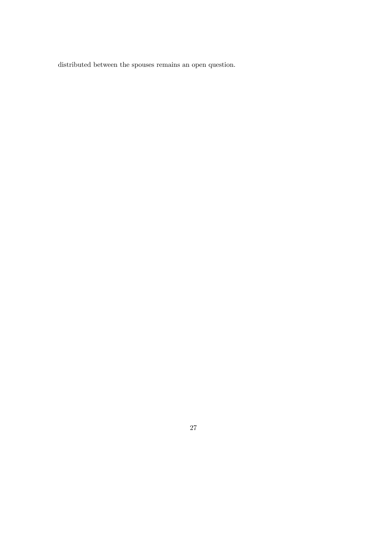distributed between the spouses remains an open question.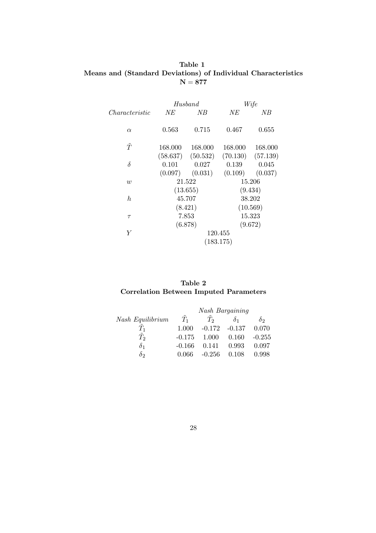### Table 1 Means and (Standard Deviations) of Individual Characteristics  $N = 877$

|                | Husband          |                                | Wife             |                   |
|----------------|------------------|--------------------------------|------------------|-------------------|
| Characteristic | NE               | ΝB                             | NE               | ΝB                |
| $\alpha$       | 0.563            | 0.715                          | 0.467            | 0.655             |
| $\tilde{T}$    | 168.000          | 168.000                        | 168.000          | 168.000           |
| $\delta$       |                  | $(58.637)$ $(50.532)$<br>0.027 | (70.130)         | (57.139)<br>0.045 |
|                | 0.101<br>(0.097) | (0.031)                        | 0.139<br>(0.109) | (0.037)           |
| $\overline{w}$ |                  | 21.522                         |                  | 15.206            |
|                |                  | (13.655)                       |                  | (9.434)           |
| $\hbar$        | 45.707           |                                |                  | 38.202            |
|                |                  | (8.421)                        |                  | (10.569)          |
| $\tau$         | 7.853            |                                | 15.323           |                   |
|                |                  | (6.878)                        |                  | (9.672)           |
| Y              | 120.455          |                                |                  |                   |
|                | (183.175)        |                                |                  |                   |
|                |                  |                                |                  |                   |

# Table 2 Correlation Between Imputed Parameters

|                  | <b>Nash Bargaining</b> |                  |            |            |  |
|------------------|------------------------|------------------|------------|------------|--|
| Nash Equilibrium | $T_1$                  | $T_2$            | $\delta_1$ | $\delta$ 2 |  |
| $T_{1}$          | 1.000                  | $-0.172 - 0.137$ |            | 0.070      |  |
| $T_2$            | $-0.175$               | 1.000            | 0.160      | $-0.255$   |  |
| $\delta_1$       | $-0.166$               | 0.141            | 0.993      | 0.097      |  |
| $\delta$ 2       | 0.066                  | $-0.256$         | 0.108      | 0.998      |  |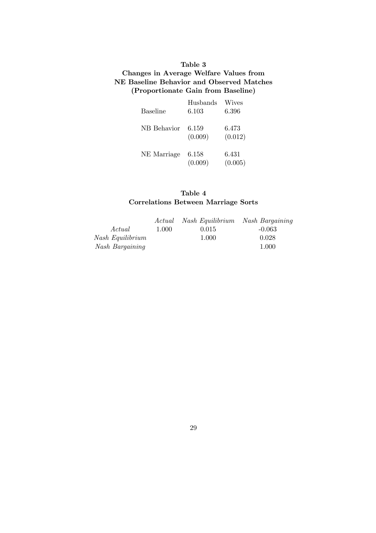# Table 3 Changes in Average Welfare Values from NE Baseline Behavior and Observed Matches (Proportionate Gain from Baseline)

| <b>Baseline</b> | Husbands<br>6.103 | Wives<br>6.396   |
|-----------------|-------------------|------------------|
| NB Behavior     | 6.159<br>(0.009)  | 6.473<br>(0.012) |
| NE Marriage     | 6.158<br>(0.009)  | 6.431<br>(0.005) |

# Table 4 Correlations Between Marriage Sorts

|                  | Actual | Nash Equilibrium | Nash Bargaining |
|------------------|--------|------------------|-----------------|
| Actual           | 1.000  | 0.015            | $-0.063$        |
| Nash Equilibrium |        | 1.000            | 0.028           |
| Nash Bargaining  |        |                  | 1.000           |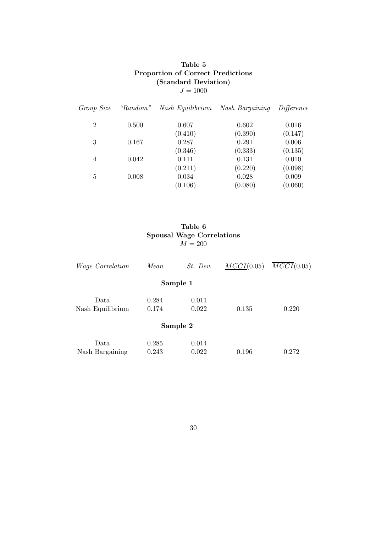# Table 5 Proportion of Correct Predictions (Standard Deviation)  $J = 1000$

| Group Size     | "Random" | Nash Equilibrium | <b>Nash Bargaining</b> | Difference |
|----------------|----------|------------------|------------------------|------------|
| $\overline{2}$ | 0.500    | 0.607            | 0.602                  | 0.016      |
|                |          | (0.410)          | (0.390)                | (0.147)    |
| 3              | 0.167    | 0.287            | 0.291                  | 0.006      |
|                |          | (0.346)          | (0.333)                | (0.135)    |
| $\overline{4}$ | 0.042    | 0.111            | 0.131                  | 0.010      |
|                |          | (0.211)          | (0.220)                | (0.098)    |
| 5              | 0.008    | 0.034            | 0.028                  | 0.009      |
|                |          | (0.106)          | (0.080)                | (0.060)    |

# Table 6 Spousal Wage Correlations  $M = 200$

| <i>Wage Correlation</i> | Mean  | St. Dev. | $MCCI(0.05)$ | $\overline{MCCI}$ (0.05) |
|-------------------------|-------|----------|--------------|--------------------------|
|                         |       | Sample 1 |              |                          |
| Data                    | 0.284 | 0.011    |              |                          |
| Nash Equilibrium        | 0.174 | 0.022    | 0.135        | 0.220                    |
|                         |       | Sample 2 |              |                          |
| Data                    | 0.285 | 0.014    |              |                          |
| Nash Bargaining         | 0.243 | 0.022    | 0.196        | 0.272                    |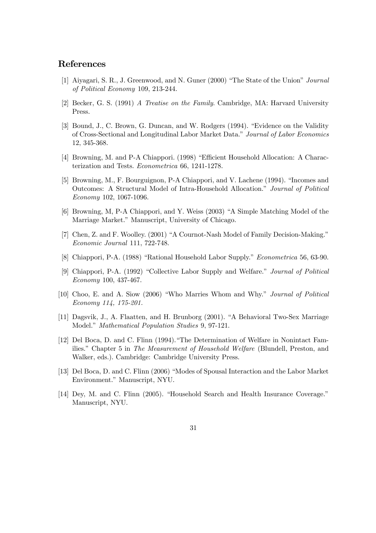### References

- [1] Aiyagari, S. R., J. Greenwood, and N. Guner (2000) "The State of the Union" Journal of Political Economy 109, 213-244.
- [2] Becker, G. S. (1991) A Treatise on the Family. Cambridge, MA: Harvard University Press.
- [3] Bound, J., C. Brown, G. Duncan, and W. Rodgers (1994). "Evidence on the Validity of Cross-Sectional and Longitudinal Labor Market Data." Journal of Labor Economics 12, 345-368.
- [4] Browning, M. and P-A Chiappori. (1998) "Efficient Household Allocation: A Characterization and Tests. Econometrica 66, 1241-1278.
- [5] Browning, M., F. Bourguignon, P-A Chiappori, and V. Lachene (1994). "Incomes and Outcomes: A Structural Model of Intra-Household Allocation." Journal of Political Economy 102, 1067-1096.
- [6] Browning, M, P-A Chiappori, and Y. Weiss (2003) "A Simple Matching Model of the Marriage Market." Manuscript, University of Chicago.
- [7] Chen, Z. and F. Woolley. (2001) "A Cournot-Nash Model of Family Decision-Making." Economic Journal 111, 722-748.
- [8] Chiappori, P-A. (1988) "Rational Household Labor Supply." Econometrica 56, 63-90.
- [9] Chiappori, P-A. (1992) "Collective Labor Supply and Welfare." Journal of Political Economy 100, 437-467.
- [10] Choo, E. and A. Siow (2006) "Who Marries Whom and Why." Journal of Political Economy 114, 175-201.
- [11] Dagsvik, J., A. Flaatten, and H. Brunborg (2001). "A Behavioral Two-Sex Marriage Model." Mathematical Population Studies 9, 97-121.
- [12] Del Boca, D. and C. Flinn (1994)."The Determination of Welfare in Nonintact Families." Chapter 5 in The Measurement of Household Welfare (Blundell, Preston, and Walker, eds.). Cambridge: Cambridge University Press.
- [13] Del Boca, D. and C. Flinn (2006) "Modes of Spousal Interaction and the Labor Market Environment." Manuscript, NYU.
- [14] Dey, M. and C. Flinn (2005). "Household Search and Health Insurance Coverage." Manuscript, NYU.
	- 31